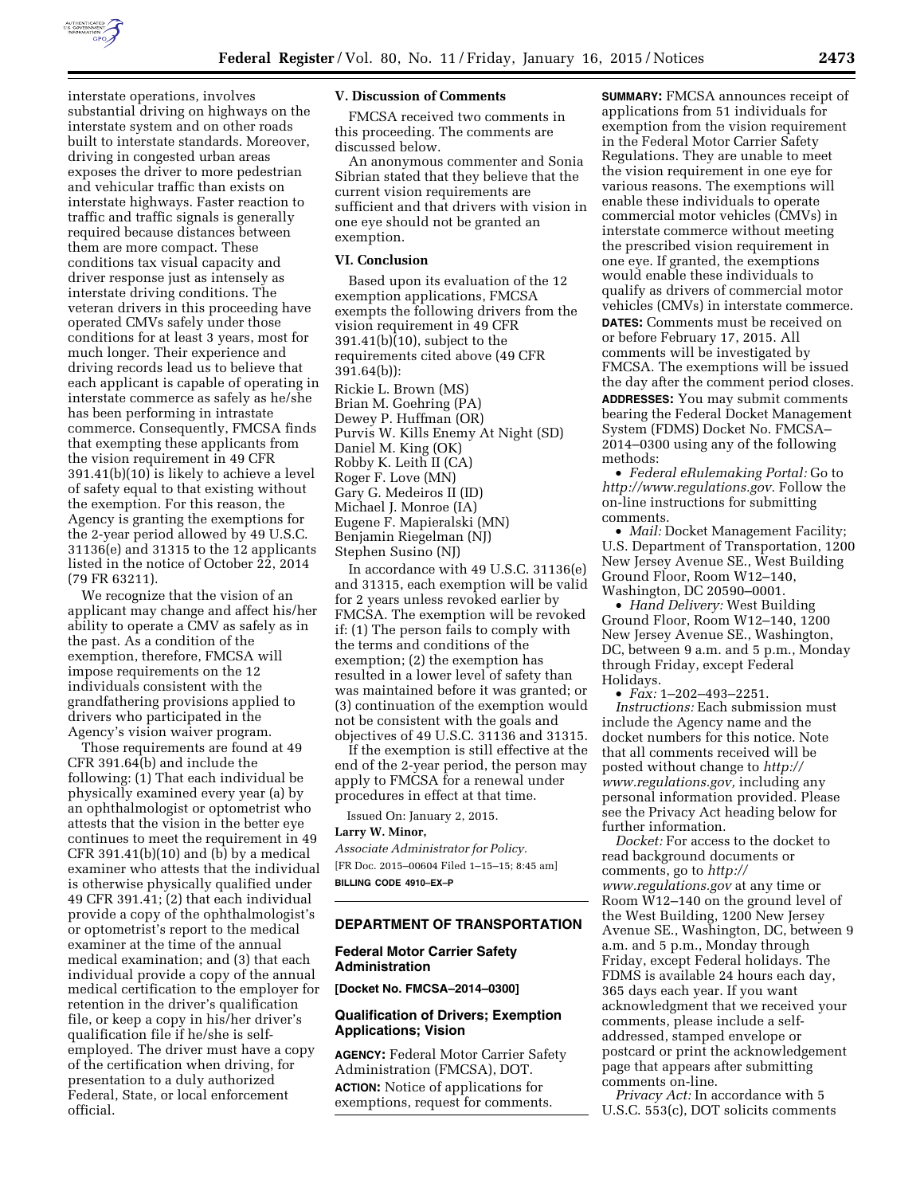

interstate operations, involves substantial driving on highways on the interstate system and on other roads built to interstate standards. Moreover, driving in congested urban areas exposes the driver to more pedestrian and vehicular traffic than exists on interstate highways. Faster reaction to traffic and traffic signals is generally required because distances between them are more compact. These conditions tax visual capacity and driver response just as intensely as interstate driving conditions. The veteran drivers in this proceeding have operated CMVs safely under those conditions for at least 3 years, most for much longer. Their experience and driving records lead us to believe that each applicant is capable of operating in interstate commerce as safely as he/she has been performing in intrastate commerce. Consequently, FMCSA finds that exempting these applicants from the vision requirement in 49 CFR 391.41(b)(10) is likely to achieve a level of safety equal to that existing without the exemption. For this reason, the Agency is granting the exemptions for the 2-year period allowed by 49 U.S.C. 31136(e) and 31315 to the 12 applicants listed in the notice of October 22, 2014 (79 FR 63211).

We recognize that the vision of an applicant may change and affect his/her ability to operate a CMV as safely as in the past. As a condition of the exemption, therefore, FMCSA will impose requirements on the 12 individuals consistent with the grandfathering provisions applied to drivers who participated in the Agency's vision waiver program.

Those requirements are found at 49 CFR 391.64(b) and include the following: (1) That each individual be physically examined every year (a) by an ophthalmologist or optometrist who attests that the vision in the better eye continues to meet the requirement in 49 CFR 391.41(b)(10) and (b) by a medical examiner who attests that the individual is otherwise physically qualified under 49 CFR 391.41; (2) that each individual provide a copy of the ophthalmologist's or optometrist's report to the medical examiner at the time of the annual medical examination; and (3) that each individual provide a copy of the annual medical certification to the employer for retention in the driver's qualification file, or keep a copy in his/her driver's qualification file if he/she is selfemployed. The driver must have a copy of the certification when driving, for presentation to a duly authorized Federal, State, or local enforcement official.

## **V. Discussion of Comments**

FMCSA received two comments in this proceeding. The comments are discussed below.

An anonymous commenter and Sonia Sibrian stated that they believe that the current vision requirements are sufficient and that drivers with vision in one eye should not be granted an exemption.

## **VI. Conclusion**

Based upon its evaluation of the 12 exemption applications, FMCSA exempts the following drivers from the vision requirement in 49 CFR 391.41(b)(10), subject to the requirements cited above (49 CFR 391.64(b)): Rickie L. Brown (MS) Brian M. Goehring (PA) Dewey P. Huffman (OR) Purvis W. Kills Enemy At Night (SD) Daniel M. King (OK) Robby K. Leith II (CA) Roger F. Love (MN) Gary G. Medeiros II (ID) Michael J. Monroe (IA) Eugene F. Mapieralski (MN) Benjamin Riegelman (NJ) Stephen Susino (NJ)

In accordance with 49 U.S.C. 31136(e) and 31315, each exemption will be valid for 2 years unless revoked earlier by FMCSA. The exemption will be revoked if: (1) The person fails to comply with the terms and conditions of the exemption; (2) the exemption has resulted in a lower level of safety than was maintained before it was granted; or (3) continuation of the exemption would not be consistent with the goals and objectives of 49 U.S.C. 31136 and 31315.

If the exemption is still effective at the end of the 2-year period, the person may apply to FMCSA for a renewal under procedures in effect at that time.

Issued On: January 2, 2015.

#### **Larry W. Minor,**

*Associate Administrator for Policy.*  [FR Doc. 2015–00604 Filed 1–15–15; 8:45 am] **BILLING CODE 4910–EX–P** 

#### **DEPARTMENT OF TRANSPORTATION**

# **Federal Motor Carrier Safety Administration**

**[Docket No. FMCSA–2014–0300]** 

# **Qualification of Drivers; Exemption Applications; Vision**

**AGENCY:** Federal Motor Carrier Safety Administration (FMCSA), DOT. **ACTION:** Notice of applications for exemptions, request for comments.

**SUMMARY:** FMCSA announces receipt of applications from 51 individuals for exemption from the vision requirement in the Federal Motor Carrier Safety Regulations. They are unable to meet the vision requirement in one eye for various reasons. The exemptions will enable these individuals to operate commercial motor vehicles (CMVs) in interstate commerce without meeting the prescribed vision requirement in one eye. If granted, the exemptions would enable these individuals to qualify as drivers of commercial motor vehicles (CMVs) in interstate commerce. **DATES:** Comments must be received on or before February 17, 2015. All comments will be investigated by FMCSA. The exemptions will be issued the day after the comment period closes. **ADDRESSES:** You may submit comments bearing the Federal Docket Management System (FDMS) Docket No. FMCSA– 2014–0300 using any of the following methods:

• *Federal eRulemaking Portal:* Go to *[http://www.regulations.gov.](http://www.regulations.gov)* Follow the on-line instructions for submitting comments.

• *Mail:* Docket Management Facility; U.S. Department of Transportation, 1200 New Jersey Avenue SE., West Building Ground Floor, Room W12–140, Washington, DC 20590–0001.

• *Hand Delivery:* West Building Ground Floor, Room W12–140, 1200 New Jersey Avenue SE., Washington, DC, between 9 a.m. and 5 p.m., Monday through Friday, except Federal Holidays.

• *Fax:* 1–202–493–2251.

*Instructions:* Each submission must include the Agency name and the docket numbers for this notice. Note that all comments received will be posted without change to *[http://](http://www.regulations.gov) [www.regulations.gov,](http://www.regulations.gov)* including any personal information provided. Please see the Privacy Act heading below for further information.

*Docket:* For access to the docket to read background documents or comments, go to *[http://](http://www.regulations.gov) [www.regulations.gov](http://www.regulations.gov)* at any time or Room W12–140 on the ground level of the West Building, 1200 New Jersey Avenue SE., Washington, DC, between 9 a.m. and 5 p.m., Monday through Friday, except Federal holidays. The FDMS is available 24 hours each day, 365 days each year. If you want acknowledgment that we received your comments, please include a selfaddressed, stamped envelope or postcard or print the acknowledgement page that appears after submitting comments on-line.

*Privacy Act:* In accordance with 5 U.S.C. 553(c), DOT solicits comments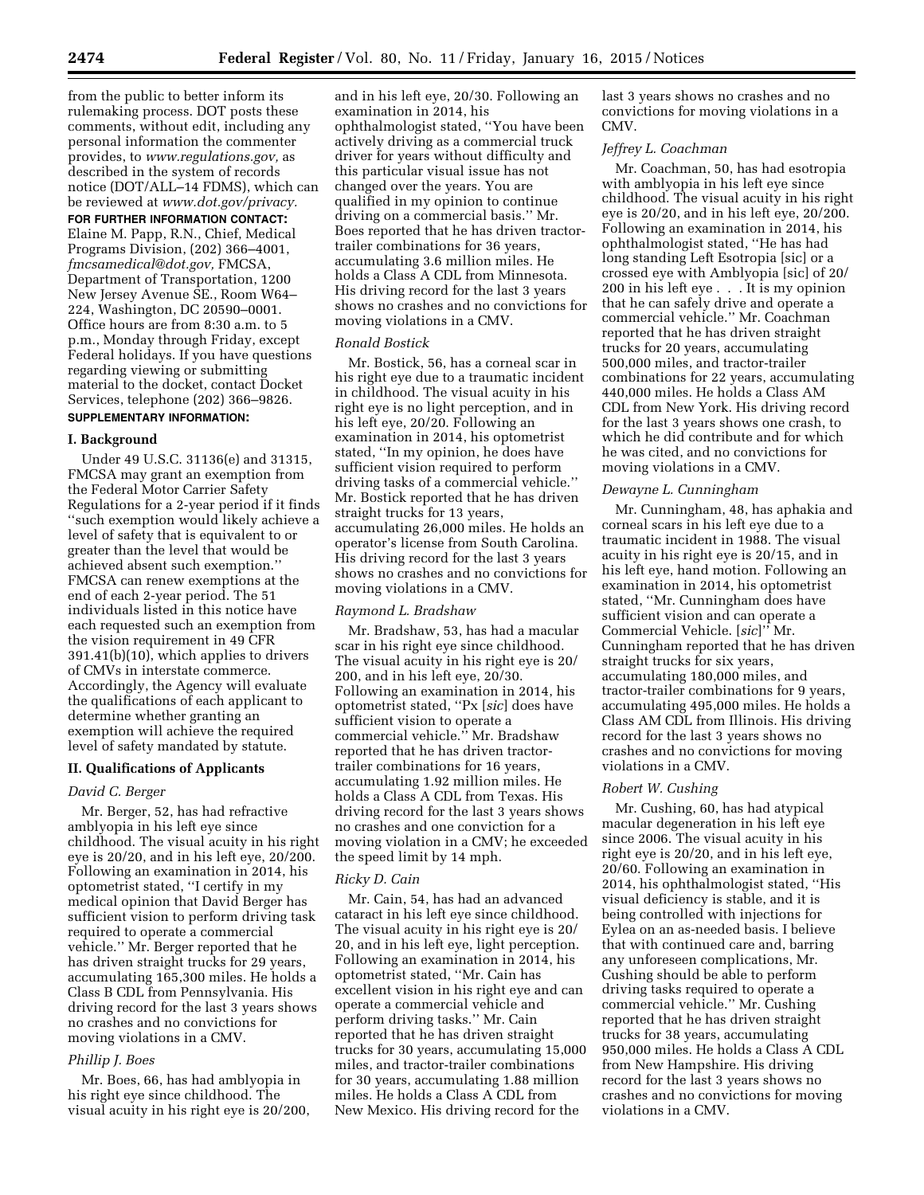from the public to better inform its rulemaking process. DOT posts these comments, without edit, including any personal information the commenter provides, to *[www.regulations.gov,](http://www.regulations.gov)* as described in the system of records notice (DOT/ALL–14 FDMS), which can be reviewed at *[www.dot.gov/privacy.](http://www.dot.gov/privacy)* 

## **FOR FURTHER INFORMATION CONTACT:**

Elaine M. Papp, R.N., Chief, Medical Programs Division, (202) 366–4001, *[fmcsamedical@dot.gov,](mailto:fmcsamedical@dot.gov)* FMCSA, Department of Transportation, 1200 New Jersey Avenue SE., Room W64– 224, Washington, DC 20590–0001. Office hours are from 8:30 a.m. to 5 p.m., Monday through Friday, except Federal holidays. If you have questions regarding viewing or submitting material to the docket, contact Docket Services, telephone (202) 366–9826. **SUPPLEMENTARY INFORMATION:** 

## **I. Background**

Under 49 U.S.C. 31136(e) and 31315, FMCSA may grant an exemption from the Federal Motor Carrier Safety Regulations for a 2-year period if it finds ''such exemption would likely achieve a level of safety that is equivalent to or greater than the level that would be achieved absent such exemption.'' FMCSA can renew exemptions at the end of each 2-year period. The 51 individuals listed in this notice have each requested such an exemption from the vision requirement in 49 CFR 391.41(b)(10), which applies to drivers of CMVs in interstate commerce. Accordingly, the Agency will evaluate the qualifications of each applicant to determine whether granting an exemption will achieve the required level of safety mandated by statute.

# **II. Qualifications of Applicants**

#### *David C. Berger*

Mr. Berger, 52, has had refractive amblyopia in his left eye since childhood. The visual acuity in his right eye is 20/20, and in his left eye, 20/200. Following an examination in 2014, his optometrist stated, ''I certify in my medical opinion that David Berger has sufficient vision to perform driving task required to operate a commercial vehicle.'' Mr. Berger reported that he has driven straight trucks for 29 years, accumulating 165,300 miles. He holds a Class B CDL from Pennsylvania. His driving record for the last 3 years shows no crashes and no convictions for moving violations in a CMV.

# *Phillip J. Boes*

Mr. Boes, 66, has had amblyopia in his right eye since childhood. The visual acuity in his right eye is 20/200,

and in his left eye, 20/30. Following an examination in 2014, his ophthalmologist stated, ''You have been actively driving as a commercial truck driver for years without difficulty and this particular visual issue has not changed over the years. You are qualified in my opinion to continue driving on a commercial basis.'' Mr. Boes reported that he has driven tractortrailer combinations for 36 years, accumulating 3.6 million miles. He holds a Class A CDL from Minnesota. His driving record for the last 3 years shows no crashes and no convictions for moving violations in a CMV.

## *Ronald Bostick*

Mr. Bostick, 56, has a corneal scar in his right eye due to a traumatic incident in childhood. The visual acuity in his right eye is no light perception, and in his left eye, 20/20. Following an examination in 2014, his optometrist stated, ''In my opinion, he does have sufficient vision required to perform driving tasks of a commercial vehicle.'' Mr. Bostick reported that he has driven straight trucks for 13 years, accumulating 26,000 miles. He holds an operator's license from South Carolina. His driving record for the last 3 years shows no crashes and no convictions for moving violations in a CMV.

# *Raymond L. Bradshaw*

Mr. Bradshaw, 53, has had a macular scar in his right eye since childhood. The visual acuity in his right eye is 20/ 200, and in his left eye, 20/30. Following an examination in 2014, his optometrist stated, ''Px [*sic*] does have sufficient vision to operate a commercial vehicle.'' Mr. Bradshaw reported that he has driven tractortrailer combinations for 16 years, accumulating 1.92 million miles. He holds a Class A CDL from Texas. His driving record for the last 3 years shows no crashes and one conviction for a moving violation in a CMV; he exceeded the speed limit by 14 mph.

#### *Ricky D. Cain*

Mr. Cain, 54, has had an advanced cataract in his left eye since childhood. The visual acuity in his right eye is 20/ 20, and in his left eye, light perception. Following an examination in 2014, his optometrist stated, ''Mr. Cain has excellent vision in his right eye and can operate a commercial vehicle and perform driving tasks.'' Mr. Cain reported that he has driven straight trucks for 30 years, accumulating 15,000 miles, and tractor-trailer combinations for 30 years, accumulating 1.88 million miles. He holds a Class A CDL from New Mexico. His driving record for the

last 3 years shows no crashes and no convictions for moving violations in a CMV.

# *Jeffrey L. Coachman*

Mr. Coachman, 50, has had esotropia with amblyopia in his left eye since childhood. The visual acuity in his right eye is 20/20, and in his left eye, 20/200. Following an examination in 2014, his ophthalmologist stated, ''He has had long standing Left Esotropia [sic] or a crossed eye with Amblyopia [sic] of 20/ 200 in his left eye . . . It is my opinion that he can safely drive and operate a commercial vehicle.'' Mr. Coachman reported that he has driven straight trucks for 20 years, accumulating 500,000 miles, and tractor-trailer combinations for 22 years, accumulating 440,000 miles. He holds a Class AM CDL from New York. His driving record for the last 3 years shows one crash, to which he did contribute and for which he was cited, and no convictions for moving violations in a CMV.

# *Dewayne L. Cunningham*

Mr. Cunningham, 48, has aphakia and corneal scars in his left eye due to a traumatic incident in 1988. The visual acuity in his right eye is 20/15, and in his left eye, hand motion. Following an examination in 2014, his optometrist stated, ''Mr. Cunningham does have sufficient vision and can operate a Commercial Vehicle. [*sic*]'' Mr. Cunningham reported that he has driven straight trucks for six years, accumulating 180,000 miles, and tractor-trailer combinations for 9 years, accumulating 495,000 miles. He holds a Class AM CDL from Illinois. His driving record for the last 3 years shows no crashes and no convictions for moving violations in a CMV.

# *Robert W. Cushing*

Mr. Cushing, 60, has had atypical macular degeneration in his left eye since 2006. The visual acuity in his right eye is 20/20, and in his left eye, 20/60. Following an examination in 2014, his ophthalmologist stated, ''His visual deficiency is stable, and it is being controlled with injections for Eylea on an as-needed basis. I believe that with continued care and, barring any unforeseen complications, Mr. Cushing should be able to perform driving tasks required to operate a commercial vehicle.'' Mr. Cushing reported that he has driven straight trucks for 38 years, accumulating 950,000 miles. He holds a Class A CDL from New Hampshire. His driving record for the last 3 years shows no crashes and no convictions for moving violations in a CMV.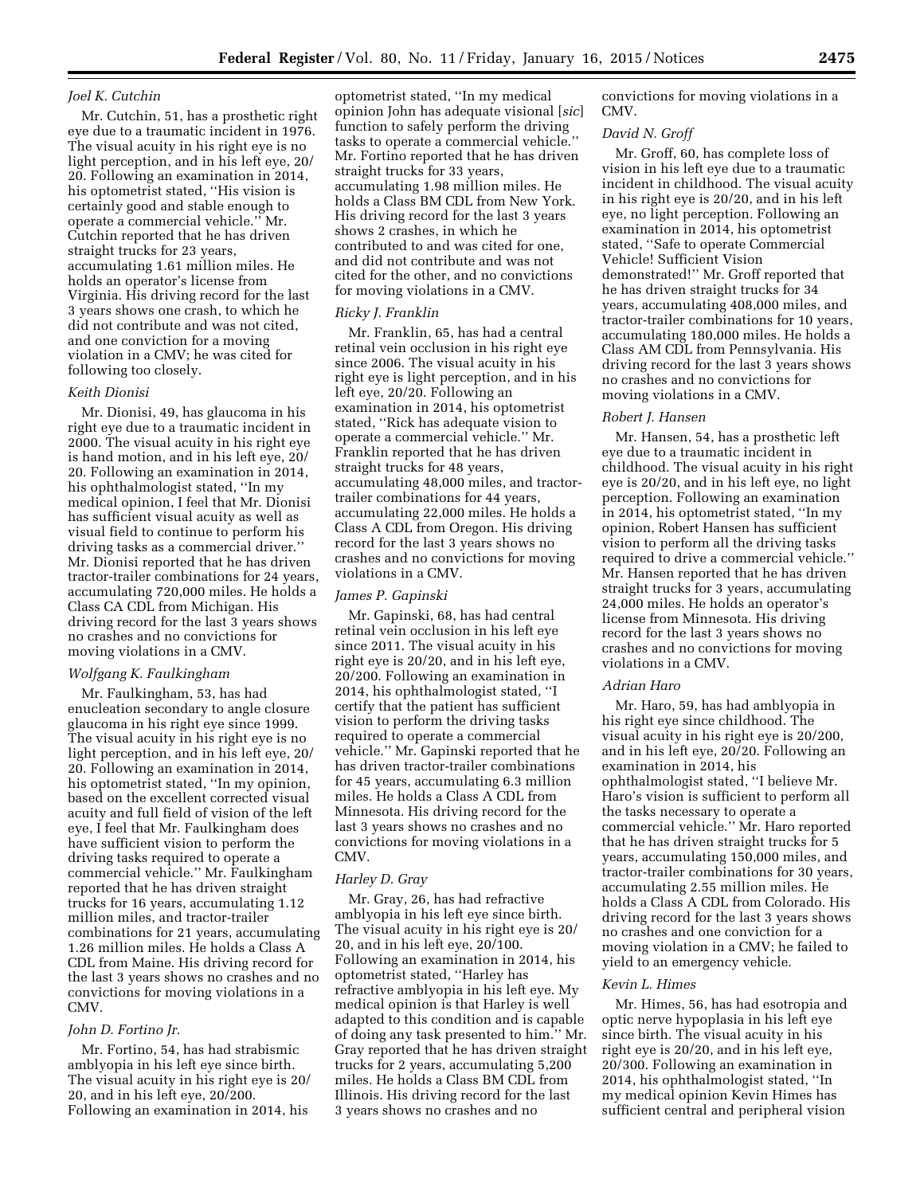# *Joel K. Cutchin*

Mr. Cutchin, 51, has a prosthetic right eye due to a traumatic incident in 1976. The visual acuity in his right eye is no light perception, and in his left eye, 20/ 20. Following an examination in 2014, his optometrist stated, ''His vision is certainly good and stable enough to operate a commercial vehicle.'' Mr. Cutchin reported that he has driven straight trucks for 23 years, accumulating 1.61 million miles. He holds an operator's license from Virginia. His driving record for the last 3 years shows one crash, to which he did not contribute and was not cited, and one conviction for a moving violation in a CMV; he was cited for following too closely.

## *Keith Dionisi*

Mr. Dionisi, 49, has glaucoma in his right eye due to a traumatic incident in 2000. The visual acuity in his right eye is hand motion, and in his left eye, 20/ 20. Following an examination in 2014, his ophthalmologist stated, ''In my medical opinion, I feel that Mr. Dionisi has sufficient visual acuity as well as visual field to continue to perform his driving tasks as a commercial driver.'' Mr. Dionisi reported that he has driven tractor-trailer combinations for 24 years, accumulating 720,000 miles. He holds a Class CA CDL from Michigan. His driving record for the last 3 years shows no crashes and no convictions for moving violations in a CMV.

## *Wolfgang K. Faulkingham*

Mr. Faulkingham, 53, has had enucleation secondary to angle closure glaucoma in his right eye since 1999. The visual acuity in his right eye is no light perception, and in his left eye, 20/ 20. Following an examination in 2014, his optometrist stated, ''In my opinion, based on the excellent corrected visual acuity and full field of vision of the left eye, I feel that Mr. Faulkingham does have sufficient vision to perform the driving tasks required to operate a commercial vehicle.'' Mr. Faulkingham reported that he has driven straight trucks for 16 years, accumulating 1.12 million miles, and tractor-trailer combinations for 21 years, accumulating 1.26 million miles. He holds a Class A CDL from Maine. His driving record for the last 3 years shows no crashes and no convictions for moving violations in a CMV.

## *John D. Fortino Jr.*

Mr. Fortino, 54, has had strabismic amblyopia in his left eye since birth. The visual acuity in his right eye is 20/ 20, and in his left eye, 20/200. Following an examination in 2014, his

optometrist stated, ''In my medical opinion John has adequate visional [*sic*] function to safely perform the driving tasks to operate a commercial vehicle.'' Mr. Fortino reported that he has driven straight trucks for 33 years, accumulating 1.98 million miles. He holds a Class BM CDL from New York. His driving record for the last 3 years shows 2 crashes, in which he contributed to and was cited for one, and did not contribute and was not cited for the other, and no convictions for moving violations in a CMV.

# *Ricky J. Franklin*

Mr. Franklin, 65, has had a central retinal vein occlusion in his right eye since 2006. The visual acuity in his right eye is light perception, and in his left eye, 20/20. Following an examination in 2014, his optometrist stated, ''Rick has adequate vision to operate a commercial vehicle.'' Mr. Franklin reported that he has driven straight trucks for 48 years, accumulating 48,000 miles, and tractortrailer combinations for 44 years, accumulating 22,000 miles. He holds a Class A CDL from Oregon. His driving record for the last 3 years shows no crashes and no convictions for moving violations in a CMV.

## *James P. Gapinski*

Mr. Gapinski, 68, has had central retinal vein occlusion in his left eye since 2011. The visual acuity in his right eye is 20/20, and in his left eye, 20/200. Following an examination in 2014, his ophthalmologist stated, ''I certify that the patient has sufficient vision to perform the driving tasks required to operate a commercial vehicle.'' Mr. Gapinski reported that he has driven tractor-trailer combinations for 45 years, accumulating 6.3 million miles. He holds a Class A CDL from Minnesota. His driving record for the last 3 years shows no crashes and no convictions for moving violations in a CMV.

## *Harley D. Gray*

Mr. Gray, 26, has had refractive amblyopia in his left eye since birth. The visual acuity in his right eye is 20/ 20, and in his left eye, 20/100. Following an examination in 2014, his optometrist stated, ''Harley has refractive amblyopia in his left eye. My medical opinion is that Harley is well adapted to this condition and is capable of doing any task presented to him.'' Mr. Gray reported that he has driven straight trucks for 2 years, accumulating 5,200 miles. He holds a Class BM CDL from Illinois. His driving record for the last 3 years shows no crashes and no

convictions for moving violations in a CMV.

## *David N. Groff*

Mr. Groff, 60, has complete loss of vision in his left eye due to a traumatic incident in childhood. The visual acuity in his right eye is 20/20, and in his left eye, no light perception. Following an examination in 2014, his optometrist stated, ''Safe to operate Commercial Vehicle! Sufficient Vision demonstrated!'' Mr. Groff reported that he has driven straight trucks for 34 years, accumulating 408,000 miles, and tractor-trailer combinations for 10 years, accumulating 180,000 miles. He holds a Class AM CDL from Pennsylvania. His driving record for the last 3 years shows no crashes and no convictions for moving violations in a CMV.

## *Robert J. Hansen*

Mr. Hansen, 54, has a prosthetic left eye due to a traumatic incident in childhood. The visual acuity in his right eye is 20/20, and in his left eye, no light perception. Following an examination in 2014, his optometrist stated, ''In my opinion, Robert Hansen has sufficient vision to perform all the driving tasks required to drive a commercial vehicle.'' Mr. Hansen reported that he has driven straight trucks for 3 years, accumulating 24,000 miles. He holds an operator's license from Minnesota. His driving record for the last 3 years shows no crashes and no convictions for moving violations in a CMV.

#### *Adrian Haro*

Mr. Haro, 59, has had amblyopia in his right eye since childhood. The visual acuity in his right eye is 20/200, and in his left eye, 20/20. Following an examination in 2014, his ophthalmologist stated, ''I believe Mr. Haro's vision is sufficient to perform all the tasks necessary to operate a commercial vehicle.'' Mr. Haro reported that he has driven straight trucks for 5 years, accumulating 150,000 miles, and tractor-trailer combinations for 30 years, accumulating 2.55 million miles. He holds a Class A CDL from Colorado. His driving record for the last 3 years shows no crashes and one conviction for a moving violation in a CMV; he failed to yield to an emergency vehicle.

# *Kevin L. Himes*

Mr. Himes, 56, has had esotropia and optic nerve hypoplasia in his left eye since birth. The visual acuity in his right eye is 20/20, and in his left eye, 20/300. Following an examination in 2014, his ophthalmologist stated, ''In my medical opinion Kevin Himes has sufficient central and peripheral vision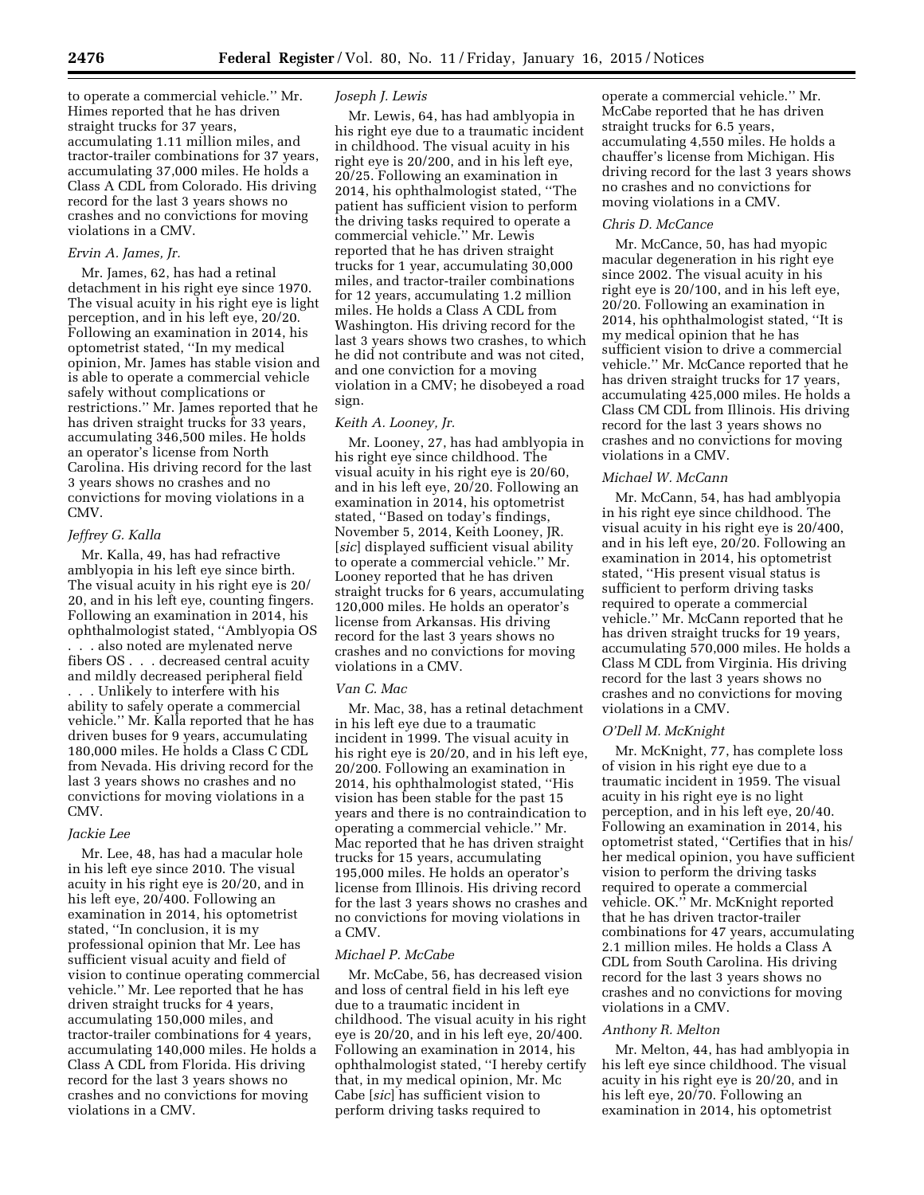to operate a commercial vehicle.'' Mr. Himes reported that he has driven straight trucks for 37 years, accumulating 1.11 million miles, and tractor-trailer combinations for 37 years, accumulating 37,000 miles. He holds a Class A CDL from Colorado. His driving record for the last 3 years shows no crashes and no convictions for moving violations in a CMV.

## *Ervin A. James, Jr.*

Mr. James, 62, has had a retinal detachment in his right eye since 1970. The visual acuity in his right eye is light perception, and in his left eye, 20/20. Following an examination in 2014, his optometrist stated, ''In my medical opinion, Mr. James has stable vision and is able to operate a commercial vehicle safely without complications or restrictions.'' Mr. James reported that he has driven straight trucks for 33 years, accumulating 346,500 miles. He holds an operator's license from North Carolina. His driving record for the last 3 years shows no crashes and no convictions for moving violations in a CMV.

## *Jeffrey G. Kalla*

Mr. Kalla, 49, has had refractive amblyopia in his left eye since birth. The visual acuity in his right eye is 20/ 20, and in his left eye, counting fingers. Following an examination in 2014, his ophthalmologist stated, ''Amblyopia OS . . . also noted are mylenated nerve fibers OS . . . decreased central acuity and mildly decreased peripheral field . . . Unlikely to interfere with his ability to safely operate a commercial vehicle.'' Mr. Kalla reported that he has driven buses for 9 years, accumulating 180,000 miles. He holds a Class C CDL from Nevada. His driving record for the last 3 years shows no crashes and no convictions for moving violations in a CMV.

# *Jackie Lee*

Mr. Lee, 48, has had a macular hole in his left eye since 2010. The visual acuity in his right eye is 20/20, and in his left eye, 20/400. Following an examination in 2014, his optometrist stated, ''In conclusion, it is my professional opinion that Mr. Lee has sufficient visual acuity and field of vision to continue operating commercial vehicle.'' Mr. Lee reported that he has driven straight trucks for 4 years, accumulating 150,000 miles, and tractor-trailer combinations for 4 years, accumulating 140,000 miles. He holds a Class A CDL from Florida. His driving record for the last 3 years shows no crashes and no convictions for moving violations in a CMV.

## *Joseph J. Lewis*

Mr. Lewis, 64, has had amblyopia in his right eye due to a traumatic incident in childhood. The visual acuity in his right eye is 20/200, and in his left eye, 20/25. Following an examination in 2014, his ophthalmologist stated, ''The patient has sufficient vision to perform the driving tasks required to operate a commercial vehicle.'' Mr. Lewis reported that he has driven straight trucks for 1 year, accumulating 30,000 miles, and tractor-trailer combinations for 12 years, accumulating 1.2 million miles. He holds a Class A CDL from Washington. His driving record for the last 3 years shows two crashes, to which he did not contribute and was not cited, and one conviction for a moving violation in a CMV; he disobeyed a road sign.

# *Keith A. Looney, Jr.*

Mr. Looney, 27, has had amblyopia in his right eye since childhood. The visual acuity in his right eye is 20/60, and in his left eye, 20/20. Following an examination in 2014, his optometrist stated, ''Based on today's findings, November 5, 2014, Keith Looney, JR. [*sic*] displayed sufficient visual ability to operate a commercial vehicle.'' Mr. Looney reported that he has driven straight trucks for 6 years, accumulating 120,000 miles. He holds an operator's license from Arkansas. His driving record for the last 3 years shows no crashes and no convictions for moving violations in a CMV.

### *Van C. Mac*

Mr. Mac, 38, has a retinal detachment in his left eye due to a traumatic incident in 1999. The visual acuity in his right eye is 20/20, and in his left eye, 20/200. Following an examination in 2014, his ophthalmologist stated, ''His vision has been stable for the past 15 years and there is no contraindication to operating a commercial vehicle.'' Mr. Mac reported that he has driven straight trucks for 15 years, accumulating 195,000 miles. He holds an operator's license from Illinois. His driving record for the last 3 years shows no crashes and no convictions for moving violations in a CMV.

## *Michael P. McCabe*

Mr. McCabe, 56, has decreased vision and loss of central field in his left eye due to a traumatic incident in childhood. The visual acuity in his right eye is 20/20, and in his left eye, 20/400. Following an examination in 2014, his ophthalmologist stated, ''I hereby certify that, in my medical opinion, Mr. Mc Cabe [*sic*] has sufficient vision to perform driving tasks required to

operate a commercial vehicle.'' Mr. McCabe reported that he has driven straight trucks for 6.5 years, accumulating 4,550 miles. He holds a chauffer's license from Michigan. His driving record for the last 3 years shows no crashes and no convictions for moving violations in a CMV.

# *Chris D. McCance*

Mr. McCance, 50, has had myopic macular degeneration in his right eye since 2002. The visual acuity in his right eye is 20/100, and in his left eye, 20/20. Following an examination in 2014, his ophthalmologist stated, ''It is my medical opinion that he has sufficient vision to drive a commercial vehicle.'' Mr. McCance reported that he has driven straight trucks for 17 years, accumulating 425,000 miles. He holds a Class CM CDL from Illinois. His driving record for the last 3 years shows no crashes and no convictions for moving violations in a CMV.

### *Michael W. McCann*

Mr. McCann, 54, has had amblyopia in his right eye since childhood. The visual acuity in his right eye is 20/400, and in his left eye, 20/20. Following an examination in 2014, his optometrist stated, ''His present visual status is sufficient to perform driving tasks required to operate a commercial vehicle.'' Mr. McCann reported that he has driven straight trucks for 19 years, accumulating 570,000 miles. He holds a Class M CDL from Virginia. His driving record for the last 3 years shows no crashes and no convictions for moving violations in a CMV.

### *O'Dell M. McKnight*

Mr. McKnight, 77, has complete loss of vision in his right eye due to a traumatic incident in 1959. The visual acuity in his right eye is no light perception, and in his left eye, 20/40. Following an examination in 2014, his optometrist stated, ''Certifies that in his/ her medical opinion, you have sufficient vision to perform the driving tasks required to operate a commercial vehicle. OK.'' Mr. McKnight reported that he has driven tractor-trailer combinations for 47 years, accumulating 2.1 million miles. He holds a Class A CDL from South Carolina. His driving record for the last 3 years shows no crashes and no convictions for moving violations in a CMV.

### *Anthony R. Melton*

Mr. Melton, 44, has had amblyopia in his left eye since childhood. The visual acuity in his right eye is 20/20, and in his left eye, 20/70. Following an examination in 2014, his optometrist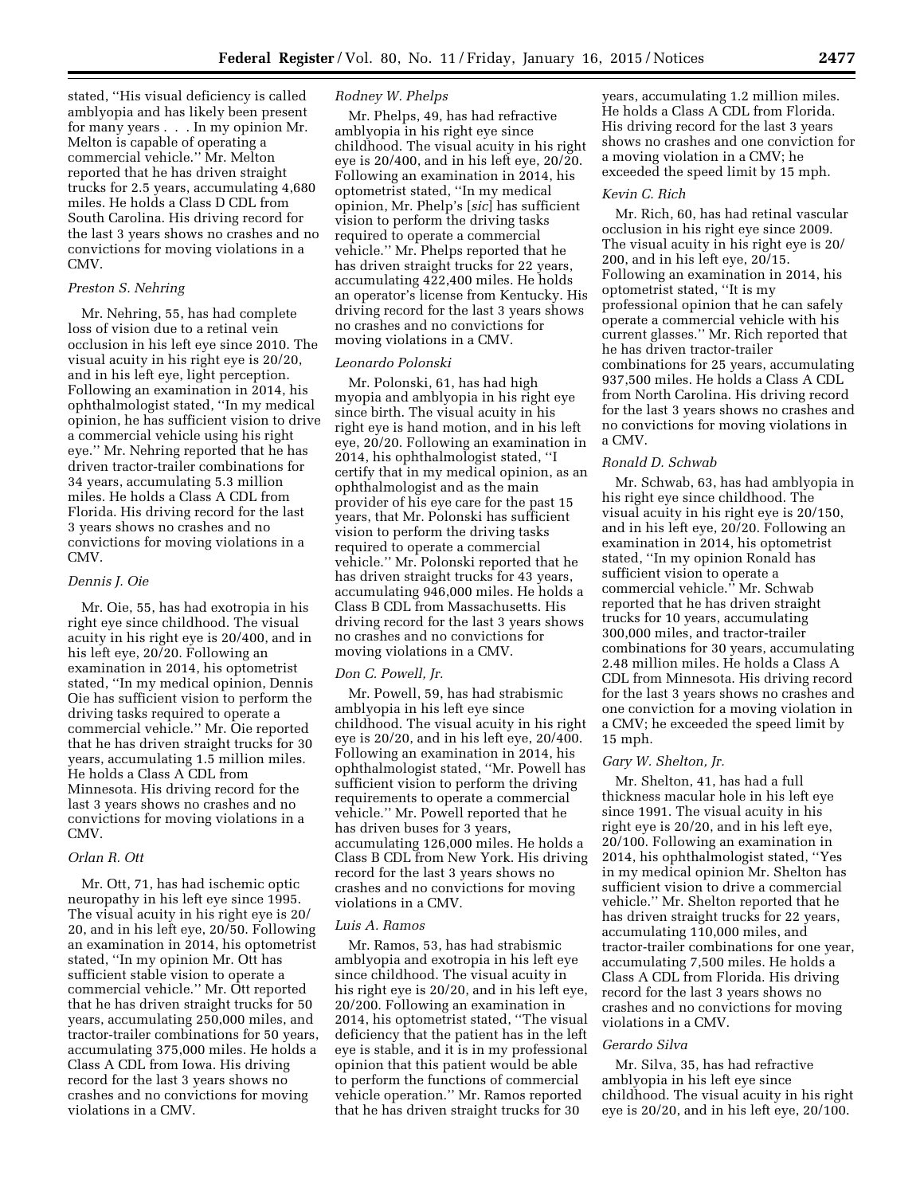stated, ''His visual deficiency is called amblyopia and has likely been present for many years . . . In my opinion Mr. Melton is capable of operating a commercial vehicle.'' Mr. Melton reported that he has driven straight trucks for 2.5 years, accumulating 4,680 miles. He holds a Class D CDL from South Carolina. His driving record for the last 3 years shows no crashes and no convictions for moving violations in a  $CMV$ 

# *Preston S. Nehring*

Mr. Nehring, 55, has had complete loss of vision due to a retinal vein occlusion in his left eye since 2010. The visual acuity in his right eye is 20/20, and in his left eye, light perception. Following an examination in 2014, his ophthalmologist stated, ''In my medical opinion, he has sufficient vision to drive a commercial vehicle using his right eye.'' Mr. Nehring reported that he has driven tractor-trailer combinations for 34 years, accumulating 5.3 million miles. He holds a Class A CDL from Florida. His driving record for the last 3 years shows no crashes and no convictions for moving violations in a CMV.

# *Dennis J. Oie*

Mr. Oie, 55, has had exotropia in his right eye since childhood. The visual acuity in his right eye is 20/400, and in his left eye, 20/20. Following an examination in 2014, his optometrist stated, ''In my medical opinion, Dennis Oie has sufficient vision to perform the driving tasks required to operate a commercial vehicle.'' Mr. Oie reported that he has driven straight trucks for 30 years, accumulating 1.5 million miles. He holds a Class A CDL from Minnesota. His driving record for the last 3 years shows no crashes and no convictions for moving violations in a CMV.

### *Orlan R. Ott*

Mr. Ott, 71, has had ischemic optic neuropathy in his left eye since 1995. The visual acuity in his right eye is 20/ 20, and in his left eye, 20/50. Following an examination in 2014, his optometrist stated, ''In my opinion Mr. Ott has sufficient stable vision to operate a commercial vehicle.'' Mr. Ott reported that he has driven straight trucks for 50 years, accumulating 250,000 miles, and tractor-trailer combinations for 50 years, accumulating 375,000 miles. He holds a Class A CDL from Iowa. His driving record for the last 3 years shows no crashes and no convictions for moving violations in a CMV.

## *Rodney W. Phelps*

Mr. Phelps, 49, has had refractive amblyopia in his right eye since childhood. The visual acuity in his right eye is 20/400, and in his left eye, 20/20. Following an examination in 2014, his optometrist stated, ''In my medical opinion, Mr. Phelp's [*sic*] has sufficient vision to perform the driving tasks required to operate a commercial vehicle.'' Mr. Phelps reported that he has driven straight trucks for 22 years, accumulating 422,400 miles. He holds an operator's license from Kentucky. His driving record for the last 3 years shows no crashes and no convictions for moving violations in a CMV.

# *Leonardo Polonski*

Mr. Polonski, 61, has had high myopia and amblyopia in his right eye since birth. The visual acuity in his right eye is hand motion, and in his left eye, 20/20. Following an examination in 2014, his ophthalmologist stated, ''I certify that in my medical opinion, as an ophthalmologist and as the main provider of his eye care for the past 15 years, that Mr. Polonski has sufficient vision to perform the driving tasks required to operate a commercial vehicle.'' Mr. Polonski reported that he has driven straight trucks for 43 years, accumulating 946,000 miles. He holds a Class B CDL from Massachusetts. His driving record for the last 3 years shows no crashes and no convictions for moving violations in a CMV.

## *Don C. Powell, Jr.*

Mr. Powell, 59, has had strabismic amblyopia in his left eye since childhood. The visual acuity in his right eye is 20/20, and in his left eye, 20/400. Following an examination in 2014, his ophthalmologist stated, ''Mr. Powell has sufficient vision to perform the driving requirements to operate a commercial vehicle.'' Mr. Powell reported that he has driven buses for 3 years, accumulating 126,000 miles. He holds a Class B CDL from New York. His driving record for the last 3 years shows no crashes and no convictions for moving violations in a CMV.

#### *Luis A. Ramos*

Mr. Ramos, 53, has had strabismic amblyopia and exotropia in his left eye since childhood. The visual acuity in his right eye is 20/20, and in his left eye, 20/200. Following an examination in 2014, his optometrist stated, ''The visual deficiency that the patient has in the left eye is stable, and it is in my professional opinion that this patient would be able to perform the functions of commercial vehicle operation.'' Mr. Ramos reported that he has driven straight trucks for 30

years, accumulating 1.2 million miles. He holds a Class A CDL from Florida. His driving record for the last 3 years shows no crashes and one conviction for a moving violation in a CMV; he exceeded the speed limit by 15 mph.

#### *Kevin C. Rich*

Mr. Rich, 60, has had retinal vascular occlusion in his right eye since 2009. The visual acuity in his right eye is 20/ 200, and in his left eye, 20/15. Following an examination in 2014, his optometrist stated, ''It is my professional opinion that he can safely operate a commercial vehicle with his current glasses.'' Mr. Rich reported that he has driven tractor-trailer combinations for 25 years, accumulating 937,500 miles. He holds a Class A CDL from North Carolina. His driving record for the last 3 years shows no crashes and no convictions for moving violations in a CMV.

# *Ronald D. Schwab*

Mr. Schwab, 63, has had amblyopia in his right eye since childhood. The visual acuity in his right eye is 20/150, and in his left eye, 20/20. Following an examination in 2014, his optometrist stated, ''In my opinion Ronald has sufficient vision to operate a commercial vehicle.'' Mr. Schwab reported that he has driven straight trucks for 10 years, accumulating 300,000 miles, and tractor-trailer combinations for 30 years, accumulating 2.48 million miles. He holds a Class A CDL from Minnesota. His driving record for the last 3 years shows no crashes and one conviction for a moving violation in a CMV; he exceeded the speed limit by 15 mph.

## *Gary W. Shelton, Jr.*

Mr. Shelton, 41, has had a full thickness macular hole in his left eye since 1991. The visual acuity in his right eye is 20/20, and in his left eye, 20/100. Following an examination in 2014, his ophthalmologist stated, ''Yes in my medical opinion Mr. Shelton has sufficient vision to drive a commercial vehicle.'' Mr. Shelton reported that he has driven straight trucks for 22 years, accumulating 110,000 miles, and tractor-trailer combinations for one year, accumulating 7,500 miles. He holds a Class A CDL from Florida. His driving record for the last 3 years shows no crashes and no convictions for moving violations in a CMV.

### *Gerardo Silva*

Mr. Silva, 35, has had refractive amblyopia in his left eye since childhood. The visual acuity in his right eye is 20/20, and in his left eye, 20/100.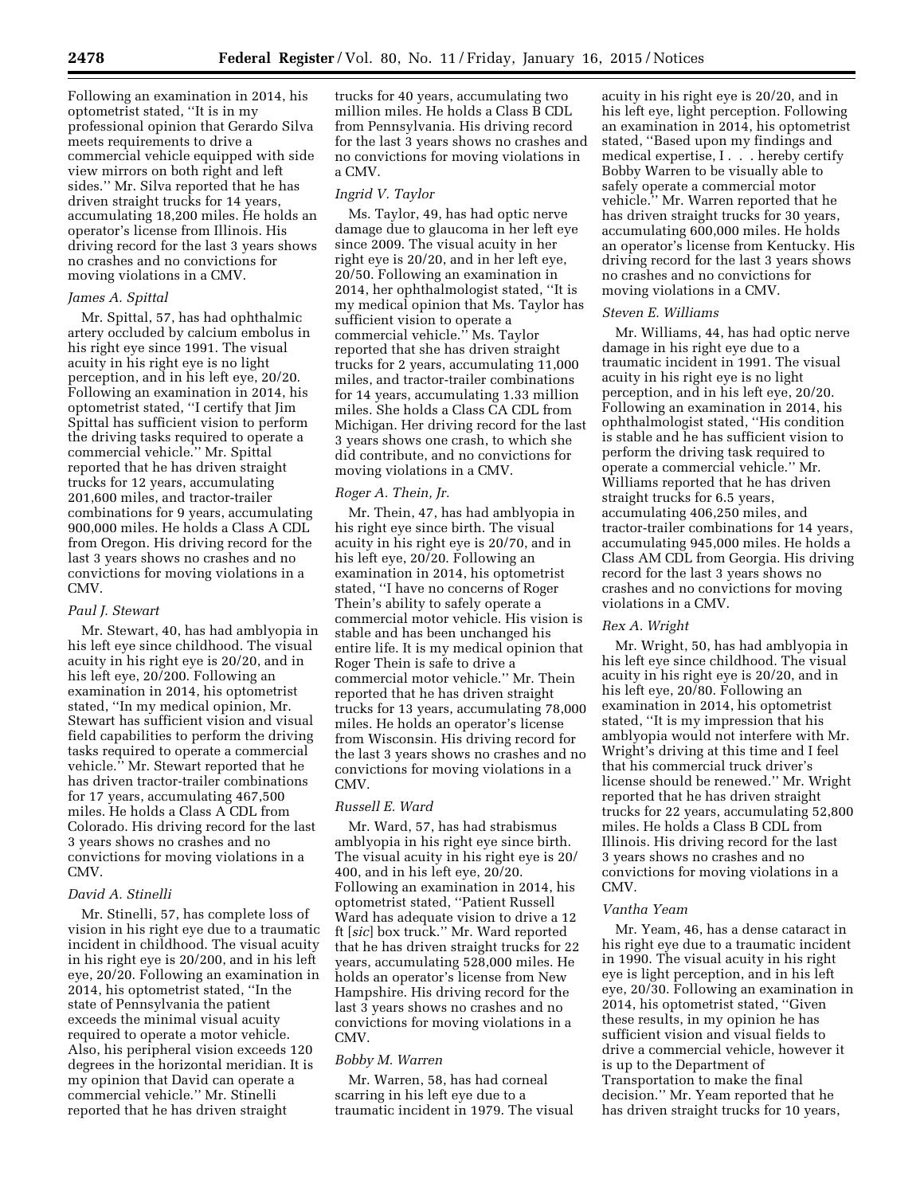Following an examination in 2014, his optometrist stated, ''It is in my professional opinion that Gerardo Silva meets requirements to drive a commercial vehicle equipped with side view mirrors on both right and left sides.'' Mr. Silva reported that he has driven straight trucks for 14 years, accumulating 18,200 miles. He holds an operator's license from Illinois. His driving record for the last 3 years shows no crashes and no convictions for moving violations in a CMV.

# *James A. Spittal*

Mr. Spittal, 57, has had ophthalmic artery occluded by calcium embolus in his right eye since 1991. The visual acuity in his right eye is no light perception, and in his left eye, 20/20. Following an examination in 2014, his optometrist stated, ''I certify that Jim Spittal has sufficient vision to perform the driving tasks required to operate a commercial vehicle.'' Mr. Spittal reported that he has driven straight trucks for 12 years, accumulating 201,600 miles, and tractor-trailer combinations for 9 years, accumulating 900,000 miles. He holds a Class A CDL from Oregon. His driving record for the last 3 years shows no crashes and no convictions for moving violations in a CMV.

# *Paul J. Stewart*

Mr. Stewart, 40, has had amblyopia in his left eye since childhood. The visual acuity in his right eye is 20/20, and in his left eye, 20/200. Following an examination in 2014, his optometrist stated, ''In my medical opinion, Mr. Stewart has sufficient vision and visual field capabilities to perform the driving tasks required to operate a commercial vehicle.'' Mr. Stewart reported that he has driven tractor-trailer combinations for 17 years, accumulating 467,500 miles. He holds a Class A CDL from Colorado. His driving record for the last 3 years shows no crashes and no convictions for moving violations in a CMV.

### *David A. Stinelli*

Mr. Stinelli, 57, has complete loss of vision in his right eye due to a traumatic incident in childhood. The visual acuity in his right eye is 20/200, and in his left eye, 20/20. Following an examination in 2014, his optometrist stated, ''In the state of Pennsylvania the patient exceeds the minimal visual acuity required to operate a motor vehicle. Also, his peripheral vision exceeds 120 degrees in the horizontal meridian. It is my opinion that David can operate a commercial vehicle.'' Mr. Stinelli reported that he has driven straight

trucks for 40 years, accumulating two million miles. He holds a Class B CDL from Pennsylvania. His driving record for the last 3 years shows no crashes and no convictions for moving violations in a CMV.

### *Ingrid V. Taylor*

Ms. Taylor, 49, has had optic nerve damage due to glaucoma in her left eye since 2009. The visual acuity in her right eye is 20/20, and in her left eye, 20/50. Following an examination in 2014, her ophthalmologist stated, ''It is my medical opinion that Ms. Taylor has sufficient vision to operate a commercial vehicle.'' Ms. Taylor reported that she has driven straight trucks for 2 years, accumulating 11,000 miles, and tractor-trailer combinations for 14 years, accumulating 1.33 million miles. She holds a Class CA CDL from Michigan. Her driving record for the last 3 years shows one crash, to which she did contribute, and no convictions for moving violations in a CMV.

## *Roger A. Thein, Jr.*

Mr. Thein, 47, has had amblyopia in his right eye since birth. The visual acuity in his right eye is 20/70, and in his left eye, 20/20. Following an examination in 2014, his optometrist stated, ''I have no concerns of Roger Thein's ability to safely operate a commercial motor vehicle. His vision is stable and has been unchanged his entire life. It is my medical opinion that Roger Thein is safe to drive a commercial motor vehicle.'' Mr. Thein reported that he has driven straight trucks for 13 years, accumulating 78,000 miles. He holds an operator's license from Wisconsin. His driving record for the last 3 years shows no crashes and no convictions for moving violations in a CMV.

## *Russell E. Ward*

Mr. Ward, 57, has had strabismus amblyopia in his right eye since birth. The visual acuity in his right eye is 20/ 400, and in his left eye, 20/20. Following an examination in 2014, his optometrist stated, ''Patient Russell Ward has adequate vision to drive a 12 ft [*sic*] box truck.'' Mr. Ward reported that he has driven straight trucks for 22 years, accumulating 528,000 miles. He holds an operator's license from New Hampshire. His driving record for the last 3 years shows no crashes and no convictions for moving violations in a CMV.

## *Bobby M. Warren*

Mr. Warren, 58, has had corneal scarring in his left eye due to a traumatic incident in 1979. The visual

acuity in his right eye is 20/20, and in his left eye, light perception. Following an examination in 2014, his optometrist stated, ''Based upon my findings and medical expertise, I . . . hereby certify Bobby Warren to be visually able to safely operate a commercial motor vehicle.'' Mr. Warren reported that he has driven straight trucks for 30 years, accumulating 600,000 miles. He holds an operator's license from Kentucky. His driving record for the last 3 years shows no crashes and no convictions for moving violations in a CMV.

### *Steven E. Williams*

Mr. Williams, 44, has had optic nerve damage in his right eye due to a traumatic incident in 1991. The visual acuity in his right eye is no light perception, and in his left eye, 20/20. Following an examination in 2014, his ophthalmologist stated, ''His condition is stable and he has sufficient vision to perform the driving task required to operate a commercial vehicle.'' Mr. Williams reported that he has driven straight trucks for 6.5 years, accumulating 406,250 miles, and tractor-trailer combinations for 14 years, accumulating 945,000 miles. He holds a Class AM CDL from Georgia. His driving record for the last 3 years shows no crashes and no convictions for moving violations in a CMV.

## *Rex A. Wright*

Mr. Wright, 50, has had amblyopia in his left eye since childhood. The visual acuity in his right eye is 20/20, and in his left eye, 20/80. Following an examination in 2014, his optometrist stated, ''It is my impression that his amblyopia would not interfere with Mr. Wright's driving at this time and I feel that his commercial truck driver's license should be renewed.'' Mr. Wright reported that he has driven straight trucks for 22 years, accumulating 52,800 miles. He holds a Class B CDL from Illinois. His driving record for the last 3 years shows no crashes and no convictions for moving violations in a CMV.

### *Vantha Yeam*

Mr. Yeam, 46, has a dense cataract in his right eye due to a traumatic incident in 1990. The visual acuity in his right eye is light perception, and in his left eye, 20/30. Following an examination in 2014, his optometrist stated, ''Given these results, in my opinion he has sufficient vision and visual fields to drive a commercial vehicle, however it is up to the Department of Transportation to make the final decision.'' Mr. Yeam reported that he has driven straight trucks for 10 years,